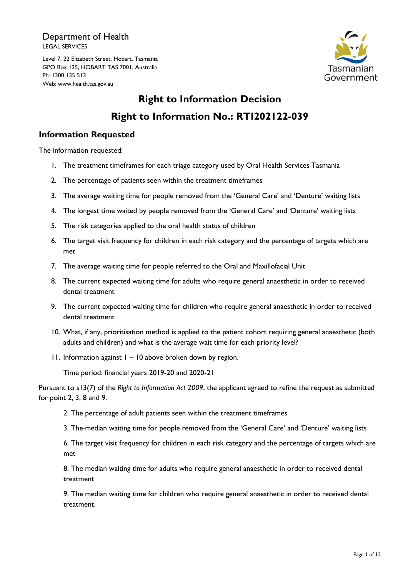Department of Health LEGAL SERVICES

Level 7, 22 Elizabeth Street, Hobart, Tasmania GPO Box 125, HOBART TAS 7001, Australia Ph: 1300 135 513 Web: www.health.tas.gov.au



# **Right to Information Decision Right to Information No.: RTI202122-039**

# **Information Requested**

The information requested:

- 1. The treatment timeframes for each triage category used by Oral Health Services Tasmania
- 2. The percentage of patients seen within the treatment timeframes
- 3. The average waiting time for people removed from the 'General Care' and 'Denture' waiting lists
- 4. The longest time waited by people removed from the 'General Care' and 'Denture' waiting lists
- 5. The risk categories applied to the oral health status of children
- 6. The target visit frequency for children in each risk category and the percentage of targets which are met
- 7. The average waiting time for people referred to the Oral and Maxillofacial Unit
- 8. The current expected waiting time for adults who require general anaesthetic in order to received dental treatment
- 9. The current expected waiting time for children who require general anaesthetic in order to received dental treatment
- 10. What, if any, prioritisation method is applied to the patient cohort requiring general anaesthetic (both adults and children) and what is the average wait time for each priority level?
- 11. Information against 1 10 above broken down by region.

Time period: financial years 2019-20 and 2020-21

Pursuant to s13(7) of the *Right to Information Act 2009*, the applicant agreed to refine the request as submitted for point 2, 3, 8 and 9.

2. The percentage of adult patients seen within the treatment timeframes

3. The median waiting time for people removed from the 'General Care' and 'Denture' waiting lists

6. The target visit frequency for children in each risk category and the percentage of targets which are met

8. The median waiting time for adults who require general anaesthetic in order to received dental treatment

9. The median waiting time for children who require general anaesthetic in order to received dental treatment.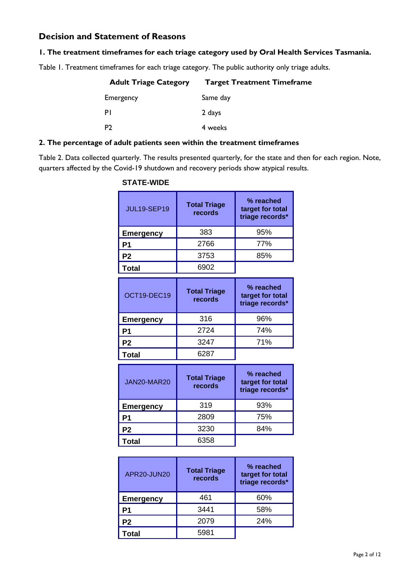# **Decision and Statement of Reasons**

#### **1. The treatment timeframes for each triage category used by Oral Health Services Tasmania.**

Table 1. Treatment timeframes for each triage category. The public authority only triage adults.

| <b>Adult Triage Category</b> | <b>Target Treatment Timeframe</b> |
|------------------------------|-----------------------------------|
| Emergency                    | Same day                          |
| PI                           | 2 days                            |
| P <sub>2</sub>               | 4 weeks                           |

#### **2. The percentage of adult patients seen within the treatment timeframes**

Table 2. Data collected quarterly. The results presented quarterly, for the state and then for each region. Note, quarters affected by the Covid-19 shutdown and recovery periods show atypical results.

| <b>JUL19-SEP19</b> | <b>Total Triage</b><br>records | % reached<br>target for total<br>triage records* |
|--------------------|--------------------------------|--------------------------------------------------|
| <b>Emergency</b>   | 383                            | 95%                                              |
| P1                 | 2766                           | 77%                                              |
| P <sub>2</sub>     | 3753                           | 85%                                              |
| Total              | 6902                           |                                                  |
| OCT19-DEC19        | <b>Total Triage</b><br>records | % reached<br>target for total<br>triage records* |
| <b>Emergency</b>   | 316                            | 96%                                              |
| P <sub>1</sub>     | 2724                           | 74%                                              |
| P <sub>2</sub>     | 3247                           | 71%                                              |
| <b>Total</b>       | 6287                           |                                                  |
| JAN20-MAR20        | <b>Total Triage</b><br>records | % reached<br>target for total<br>triage records* |
| <b>Emergency</b>   | 319                            | 93%                                              |
| P <sub>1</sub>     | 2809                           | 75%                                              |
| P <sub>2</sub>     | 3230                           | 84%                                              |
| <b>Total</b>       | 6358                           |                                                  |

#### APR20-JUN20 **Total Triage records % reached target for total triage records\* Emergency** 461 60% **P1** 3441 58% **P2** 2079 24% **Total** 5981

#### **STATE-WIDE**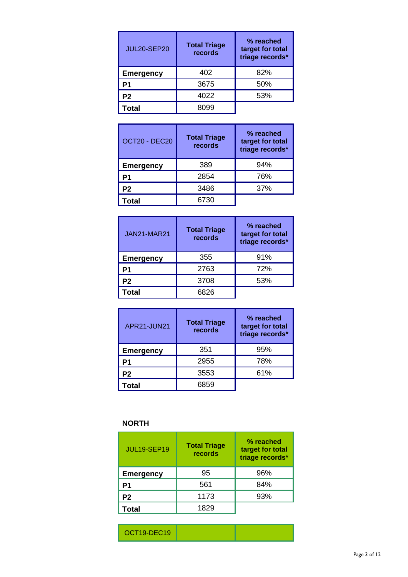| <b>JUL20-SEP20</b> | <b>Total Triage</b><br>records | % reached<br>target for total<br>triage records* |
|--------------------|--------------------------------|--------------------------------------------------|
| <b>Emergency</b>   | 402                            | 82%                                              |
| P1                 | 3675                           | 50%                                              |
| P <sub>2</sub>     | 4022                           | 53%                                              |
| Total              |                                |                                                  |

| OCT20 - DEC20    | <b>Total Triage</b><br>records | % reached<br>target for total<br>triage records* |
|------------------|--------------------------------|--------------------------------------------------|
| <b>Emergency</b> | 389                            | 94%                                              |
| Р1               | 2854                           | 76%                                              |
| P2               | 3486                           | 37%                                              |
| Total            | 6730                           |                                                  |

| <b>JAN21-MAR21</b> | <b>Total Triage</b><br>records | % reached<br>target for total<br>triage records* |
|--------------------|--------------------------------|--------------------------------------------------|
| <b>Emergency</b>   | 355                            | 91%                                              |
| P1                 | 2763                           | 72%                                              |
| P <sub>2</sub>     | 3708                           | 53%                                              |
| Total              | 6826                           |                                                  |

| APR21-JUN21      | <b>Total Triage</b><br>records | % reached<br>target for total<br>triage records* |
|------------------|--------------------------------|--------------------------------------------------|
| <b>Emergency</b> | 351                            | 95%                                              |
| Р1               | 2955                           | 78%                                              |
| P <sub>2</sub>   | 3553                           | 61%                                              |
| ัotal            | 6859                           |                                                  |

# **NORTH**

| <b>JUL19-SEP19</b> | <b>Total Triage</b><br>records | % reached<br>target for total<br>triage records* |
|--------------------|--------------------------------|--------------------------------------------------|
| <b>Emergency</b>   | 95                             | 96%                                              |
| P1                 | 561                            | 84%                                              |
| P <sub>2</sub>     | 1173                           | 93%                                              |
| <b>Total</b>       | 1829                           |                                                  |

| $OCT19.$ DEC10 |  |  |
|----------------|--|--|
|----------------|--|--|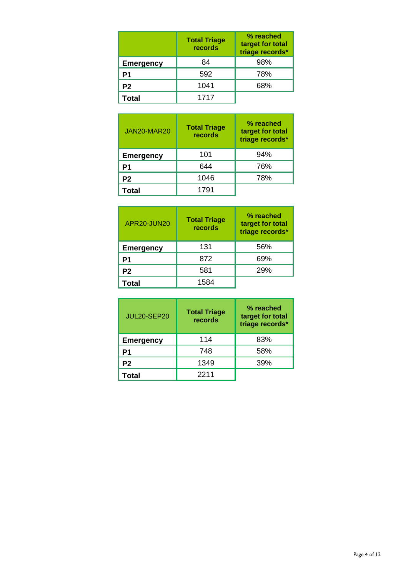|                  | <b>Total Triage</b><br>records | % reached<br>target for total<br>triage records* |
|------------------|--------------------------------|--------------------------------------------------|
| <b>Emergency</b> | 84                             | 98%                                              |
| Р1               | 592                            | 78%                                              |
| P <sub>2</sub>   | 1041                           | 68%                                              |
| Total            | 1717                           |                                                  |

| JAN20-MAR20      | <b>Total Triage</b><br>records | % reached<br>target for total<br>triage records* |
|------------------|--------------------------------|--------------------------------------------------|
| <b>Emergency</b> | 101                            | 94%                                              |
| P1               | 644                            | 76%                                              |
| P <sub>2</sub>   | 1046                           | 78%                                              |
| Total            | 1791                           |                                                  |

| APR20-JUN20      | <b>Total Triage</b><br>records | % reached<br>target for total<br>triage records* |
|------------------|--------------------------------|--------------------------------------------------|
| <b>Emergency</b> | 131                            | 56%                                              |
| P1               | 872                            | 69%                                              |
| P2               | 581                            | 29%                                              |
| Total            | 1584                           |                                                  |

| <b>JUL20-SEP20</b> | <b>Total Triage</b><br>records | % reached<br>target for total<br>triage records* |
|--------------------|--------------------------------|--------------------------------------------------|
| <b>Emergency</b>   | 114                            | 83%                                              |
| P1                 | 748                            | 58%                                              |
| P <sub>2</sub>     | 1349                           | 39%                                              |
| Total              | 2211                           |                                                  |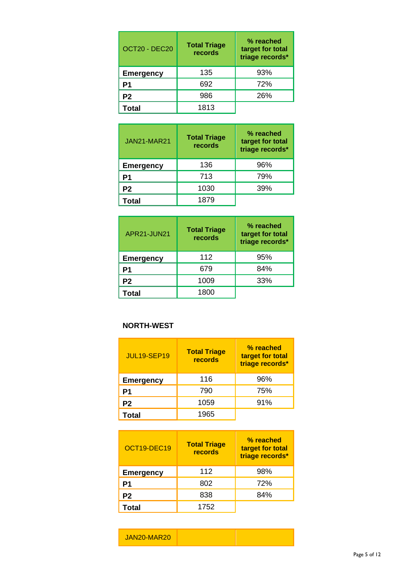| OCT20 - DEC20    | <b>Total Triage</b><br>records | % reached<br>target for total<br>triage records* |
|------------------|--------------------------------|--------------------------------------------------|
| <b>Emergency</b> | 135                            | 93%                                              |
| P1               | 692                            | 72%                                              |
| P2               | 986                            | 26%                                              |
| Total            | 1813                           |                                                  |

| <b>JAN21-MAR21</b> | <b>Total Triage</b><br>records | % reached<br>target for total<br>triage records* |
|--------------------|--------------------------------|--------------------------------------------------|
| <b>Emergency</b>   | 136                            | 96%                                              |
| Р1                 | 713                            | 79%                                              |
| P <sub>2</sub>     | 1030                           | 39%                                              |
| Total              | 1879                           |                                                  |

| APR21-JUN21      | <b>Total Triage</b><br>records | % reached<br>target for total<br>triage records* |
|------------------|--------------------------------|--------------------------------------------------|
| <b>Emergency</b> | 112                            | 95%                                              |
| P1               | 679                            | 84%                                              |
| P2               | 1009                           | 33%                                              |
| Total            | 1800                           |                                                  |

#### **NORTH-WEST**

| <b>JUL19-SEP19</b> | <b>Total Triage</b><br>records | % reached<br>target for total<br>triage records* |
|--------------------|--------------------------------|--------------------------------------------------|
| <b>Emergency</b>   | 116                            | 96%                                              |
| P1                 | 790                            | 75%                                              |
| P <sub>2</sub>     | 1059                           | 91%                                              |
| Total              | 1965                           |                                                  |

| OCT19-DEC19      | <b>Total Triage</b><br>records | % reached<br>target for total<br>triage records* |
|------------------|--------------------------------|--------------------------------------------------|
| <b>Emergency</b> | 112                            | 98%                                              |
| P1               | 802                            | 72%                                              |
| P <sub>2</sub>   | 838                            | 84%                                              |
| Total            | 1752                           |                                                  |

| JAN20-MAR20 |  |  |
|-------------|--|--|
|-------------|--|--|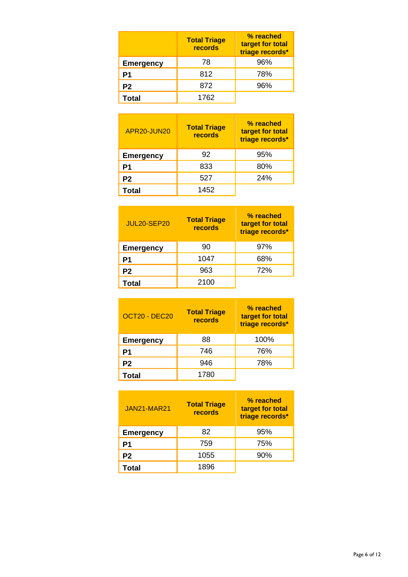|                  | <b>Total Triage</b><br>records | % reached<br>target for total<br>triage records* |
|------------------|--------------------------------|--------------------------------------------------|
| <b>Emergency</b> | 78                             | 96%                                              |
| P1               | 812                            | 78%                                              |
| P <sub>2</sub>   | 872                            | 96%                                              |
| Total            | 1762                           |                                                  |

| APR20-JUN20      | <b>Total Triage</b><br>records | % reached<br>target for total<br>triage records* |
|------------------|--------------------------------|--------------------------------------------------|
| <b>Emergency</b> | 92                             | 95%                                              |
| P1               | 833                            | 80%                                              |
| P <sub>2</sub>   | 527                            | 24%                                              |
| Total            | 1452                           |                                                  |

| <b>JUL20-SEP20</b> | <b>Total Triage</b><br>records | % reached<br>target for total<br>triage records* |
|--------------------|--------------------------------|--------------------------------------------------|
| <b>Emergency</b>   | 90                             | 97%                                              |
| P1                 | 1047                           | 68%                                              |
| P <sub>2</sub>     | 963                            | 72%                                              |
| Total              | 2100                           |                                                  |

| OCT20 - DEC20    | <b>Total Triage</b><br>records | % reached<br>target for total<br>triage records* |
|------------------|--------------------------------|--------------------------------------------------|
| <b>Emergency</b> | 88                             | 100%                                             |
| P1               | 746                            | 76%                                              |
| P <sub>2</sub>   | 946                            | 78%                                              |
| Total            | 1780                           |                                                  |

| <b>JAN21-MAR21</b> | <b>Total Triage</b><br>records | % reached<br>target for total<br>triage records* |
|--------------------|--------------------------------|--------------------------------------------------|
| <b>Emergency</b>   | 82                             | 95%                                              |
| P1                 | 759                            | 75%                                              |
| P <sub>2</sub>     | 1055                           | 90%                                              |
| Total              | 1896                           |                                                  |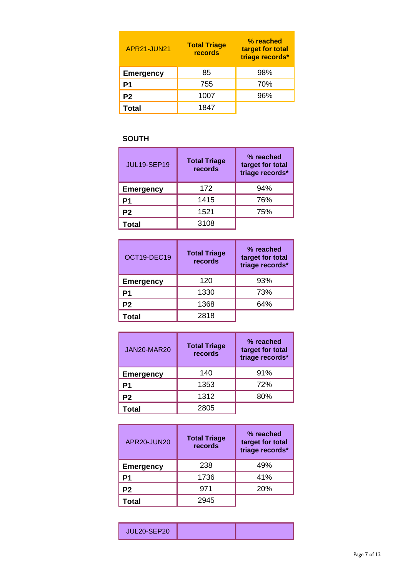| APR21-JUN21      | <b>Total Triage</b><br>records | % reached<br>target for total<br>triage records* |
|------------------|--------------------------------|--------------------------------------------------|
| <b>Emergency</b> | 85                             | 98%                                              |
| P1               | 755                            | 70%                                              |
| P <sub>2</sub>   | 1007                           | 96%                                              |
| Total            | 1847                           |                                                  |

# **SOUTH**

| <b>JUL19-SEP19</b> | <b>Total Triage</b><br>records | % reached<br>target for total<br>triage records* |
|--------------------|--------------------------------|--------------------------------------------------|
| <b>Emergency</b>   | 172                            | 94%                                              |
| P1                 | 1415                           | 76%                                              |
| P <sub>2</sub>     | 1521                           | 75%                                              |
| Total              | 3108                           |                                                  |

| OCT19-DEC19      | <b>Total Triage</b><br>records | % reached<br>target for total<br>triage records* |
|------------------|--------------------------------|--------------------------------------------------|
| <b>Emergency</b> | 120                            | 93%                                              |
| P1               | 1330                           | 73%                                              |
| P <sub>2</sub>   | 1368                           | 64%                                              |
| Total            | 2818                           |                                                  |

| JAN20-MAR20      | <b>Total Triage</b><br>records | % reached<br>target for total<br>triage records* |
|------------------|--------------------------------|--------------------------------------------------|
| <b>Emergency</b> | 140                            | 91%                                              |
| P1               | 1353                           | 72%                                              |
| P <sub>2</sub>   | 1312                           | 80%                                              |
| Total            | 2805                           |                                                  |

| APR20-JUN20      | <b>Total Triage</b><br>records | % reached<br>target for total<br>triage records* |
|------------------|--------------------------------|--------------------------------------------------|
| <b>Emergency</b> | 238                            | 49%                                              |
| Р1               | 1736                           | 41%                                              |
| P <sub>2</sub>   | 971                            | 20%                                              |
| Total            | 2945                           |                                                  |

| <b>THE 20-SED20</b> |  |
|---------------------|--|
|---------------------|--|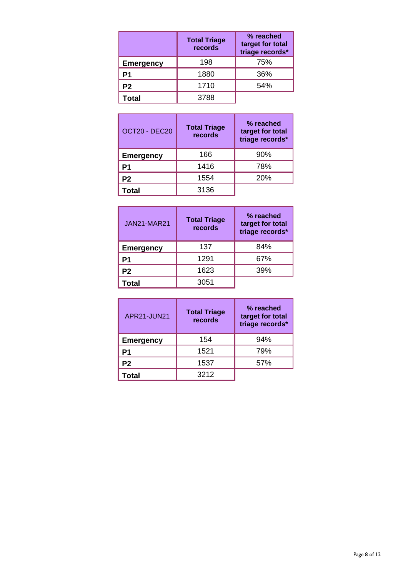|                  | <b>Total Triage</b><br>records | % reached<br>target for total<br>triage records* |
|------------------|--------------------------------|--------------------------------------------------|
| <b>Emergency</b> | 198                            | 75%                                              |
| Р1               | 1880                           | 36%                                              |
| P <sub>2</sub>   | 1710                           | 54%                                              |
| Total            | 3788                           |                                                  |

| OCT20 - DEC20    | <b>Total Triage</b><br>records | % reached<br>target for total<br>triage records* |
|------------------|--------------------------------|--------------------------------------------------|
| <b>Emergency</b> | 166                            | 90%                                              |
| P1               | 1416                           | 78%                                              |
| P <sub>2</sub>   | 1554                           | 20%                                              |
| <b>Total</b>     | 3136                           |                                                  |

| <b>JAN21-MAR21</b> | <b>Total Triage</b><br>records | % reached<br>target for total<br>triage records* |
|--------------------|--------------------------------|--------------------------------------------------|
| <b>Emergency</b>   | 137                            | 84%                                              |
| Р1                 | 1291                           | 67%                                              |
| P <sub>2</sub>     | 1623                           | 39%                                              |
| Total              | 3051                           |                                                  |

| APR21-JUN21      | <b>Total Triage</b><br>records | % reached<br>target for total<br>triage records* |
|------------------|--------------------------------|--------------------------------------------------|
| <b>Emergency</b> | 154                            | 94%                                              |
| P1               | 1521                           | 79%                                              |
| P2               | 1537                           | 57%                                              |
| Total            | 3212                           |                                                  |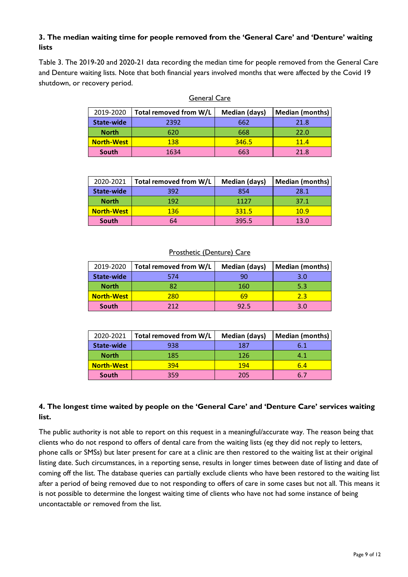## **3. The median waiting time for people removed from the 'General Care' and 'Denture' waiting lists**

Table 3. The 2019-20 and 2020-21 data recording the median time for people removed from the General Care and Denture waiting lists. Note that both financial years involved months that were affected by the Covid 19 shutdown, or recovery period.

| 2019-2020         | Total removed from W/L | Median (days) | <b>Median (months)</b> |
|-------------------|------------------------|---------------|------------------------|
| State-wide        | 2392                   | 662           | 21.8                   |
| <b>North</b>      | 620                    | 668           | 22.0                   |
| <b>North-West</b> | 138                    | 346.5         | 11.4                   |
| South             | 1634                   | 663           | 21.8                   |

| rai<br>ıe. | í.<br><b>.</b> |
|------------|----------------|
|            |                |
|            |                |

| 2020-2021         | Total removed from W/L | Median (days) | <b>Median (months)</b> |
|-------------------|------------------------|---------------|------------------------|
| State-wide        | 392                    | 854           | 28.1                   |
| <b>North</b>      | 192                    | 1127          | 37.1                   |
| <b>North-West</b> | 136                    | 331.5         | 10.9                   |
| South             | 64                     | 395.5         | 13.0                   |

#### Prosthetic (Denture) Care

| 2019-2020         | Total removed from W/L | Median (days) | Median (months) |
|-------------------|------------------------|---------------|-----------------|
| State-wide        | 574                    | 90            | 3.0             |
| <b>North</b>      | 82                     | 160           | 5.3             |
| <b>North-West</b> | 280                    | 69            | 2.3             |
| South             | 212                    | 92.5          | 3.0             |

| 2020-2021         | Total removed from W/L | Median (days) | Median (months) |
|-------------------|------------------------|---------------|-----------------|
| State-wide        | 938                    | 187           | 6.1             |
| <b>North</b>      | 185                    | 126           | 4.1             |
| <b>North-West</b> | 394                    | 194           | 6.4             |
| South             | 359                    | 205           | 6.7             |

### **4. The longest time waited by people on the 'General Care' and 'Denture Care' services waiting list.**

The public authority is not able to report on this request in a meaningful/accurate way. The reason being that clients who do not respond to offers of dental care from the waiting lists (eg they did not reply to letters, phone calls or SMSs) but later present for care at a clinic are then restored to the waiting list at their original listing date. Such circumstances, in a reporting sense, results in longer times between date of listing and date of coming off the list. The database queries can partially exclude clients who have been restored to the waiting list after a period of being removed due to not responding to offers of care in some cases but not all. This means it is not possible to determine the longest waiting time of clients who have not had some instance of being uncontactable or removed from the list.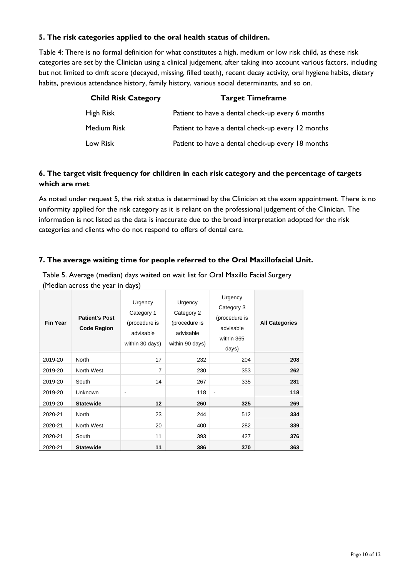#### **5. The risk categories applied to the oral health status of children.**

Table 4: There is no formal definition for what constitutes a high, medium or low risk child, as these risk categories are set by the Clinician using a clinical judgement, after taking into account various factors, including but not limited to dmft score (decayed, missing, filled teeth), recent decay activity, oral hygiene habits, dietary habits, previous attendance history, family history, various social determinants, and so on.

| <b>Child Risk Category</b> | <b>Target Timeframe</b>                           |
|----------------------------|---------------------------------------------------|
| High Risk                  | Patient to have a dental check-up every 6 months  |
| Medium Risk                | Patient to have a dental check-up every 12 months |
| Low Risk                   | Patient to have a dental check-up every 18 months |

### **6. The target visit frequency for children in each risk category and the percentage of targets which are met**

As noted under request 5, the risk status is determined by the Clinician at the exam appointment. There is no uniformity applied for the risk category as it is reliant on the professional judgement of the Clinician. The information is not listed as the data is inaccurate due to the broad interpretation adopted for the risk categories and clients who do not respond to offers of dental care.

### **7. The average waiting time for people referred to the Oral Maxillofacial Unit.**

Table 5. Average (median) days waited on wait list for Oral Maxillo Facial Surgery (Median across the year in days)

| <b>Fin Year</b> | <b>Patient's Post</b><br><b>Code Region</b> | Urgency<br>Category 1<br>(procedure is<br>advisable<br>within 30 days) | Urgency<br>Category 2<br>(procedure is<br>advisable<br>within 90 days) | Urgency<br>Category 3<br>(procedure is<br>advisable<br>within 365<br>days) | <b>All Categories</b> |
|-----------------|---------------------------------------------|------------------------------------------------------------------------|------------------------------------------------------------------------|----------------------------------------------------------------------------|-----------------------|
| 2019-20         | <b>North</b>                                | 17                                                                     | 232                                                                    | 204                                                                        | 208                   |
| 2019-20         | North West                                  | 7                                                                      | 230                                                                    | 353                                                                        | 262                   |
| 2019-20         | South                                       | 14                                                                     | 267                                                                    | 335                                                                        | 281                   |
| 2019-20         | <b>Unknown</b>                              | $\overline{a}$                                                         | 118                                                                    |                                                                            | 118                   |
| 2019-20         | <b>Statewide</b>                            | 12                                                                     | 260                                                                    | 325                                                                        | 269                   |
| 2020-21         | <b>North</b>                                | 23                                                                     | 244                                                                    | 512                                                                        | 334                   |
| 2020-21         | North West                                  | 20                                                                     | 400                                                                    | 282                                                                        | 339                   |
| 2020-21         | South                                       | 11                                                                     | 393                                                                    | 427                                                                        | 376                   |
| 2020-21         | <b>Statewide</b>                            | 11                                                                     | 386                                                                    | 370                                                                        | 363                   |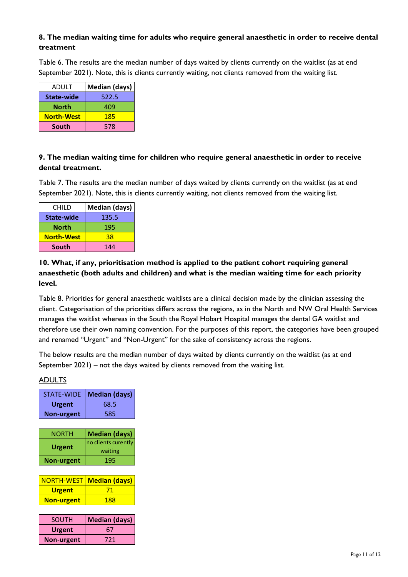### **8. The median waiting time for adults who require general anaesthetic in order to receive dental treatment**

Table 6. The results are the median number of days waited by clients currently on the waitlist (as at end September 2021). Note, this is clients currently waiting, not clients removed from the waiting list.

| ADULT             | Median (days) |
|-------------------|---------------|
| <b>State-wide</b> | 522.5         |
| North             | 409           |
| <b>North-West</b> | 185           |
| South             | 578           |

### **9. The median waiting time for children who require general anaesthetic in order to receive dental treatment.**

Table 7. The results are the median number of days waited by clients currently on the waitlist (as at end September 2021). Note, this is clients currently waiting, not clients removed from the waiting list.

| CHILD             | Median (days) |
|-------------------|---------------|
| <b>State-wide</b> | 135.5         |
| North             | 195           |
| <b>North-West</b> | 38            |
| <b>South</b>      | 144           |

**10. What, if any, prioritisation method is applied to the patient cohort requiring general anaesthetic (both adults and children) and what is the median waiting time for each priority level.**

Table 8. Priorities for general anaesthetic waitlists are a clinical decision made by the clinician assessing the client. Categorisation of the priorities differs across the regions, as in the North and NW Oral Health Services manages the waitlist whereas in the South the Royal Hobart Hospital manages the dental GA waitlist and therefore use their own naming convention. For the purposes of this report, the categories have been grouped and renamed "Urgent" and "Non-Urgent" for the sake of consistency across the regions.

The below results are the median number of days waited by clients currently on the waitlist (as at end September 2021) – not the days waited by clients removed from the waiting list.

#### ADULTS

| <b>STATE-WIDE</b> | <b>Median (days)</b> |
|-------------------|----------------------|
| <b>Urgent</b>     | 68.5                 |
| <b>Non-urgent</b> | 585                  |
|                   |                      |
| NORTH             | <b>Median (days)</b> |
| <b>Urgent</b>     | no clients curently  |
|                   | waiting              |
| <b>Non-urgent</b> | 195                  |
|                   |                      |
| <b>NORTH-WEST</b> | <b>Median (days)</b> |
| <b>Urgent</b>     | 71                   |
| <b>Non-urgent</b> | 188                  |

| <b>SOUTH</b>      | <b>Median (days)</b> |
|-------------------|----------------------|
| <b>Urgent</b>     | 67                   |
| <b>Non-urgent</b> | 721                  |